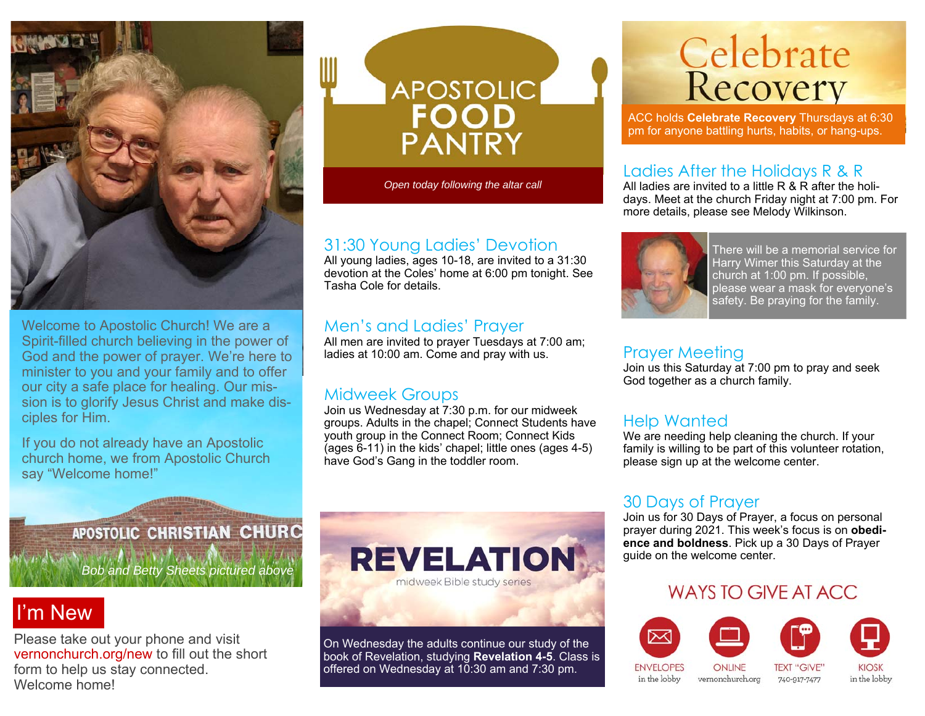

Welcome to Apostolic Church! We are a Spirit-filled church believing in the power of God and the power of prayer. We're here to minister to you and your family and to offer our city a safe place for healing. Our mission is to glorify Jesus Christ and make disciples for Him.

If you do not already have an Apostolic church home, we from Apostolic Church say "Welcome home!"

APOSTOLIC

*Open today following the altar call* 

#### 31:30 Young Ladies' Devotion

All young ladies, ages 10-18, are invited to a 31:30 devotion at the Coles' home at 6:00 pm tonight. See Tasha Cole for details.

#### Men's and Ladies' Prayer

All men are invited to prayer Tuesdays at 7:00 am; ladies at 10:00 am. Come and pray with us.

#### Midweek Groups

Join us Wednesday at 7:30 p.m. for our midweek groups. Adults in the chapel; Connect Students have youth group in the Connect Room; Connect Kids (ages 6-11) in the kids' chapel; little ones (ages 4-5) have God's Gang in the toddler room.

# **Celebrate**<br>Recovery

ACC holds **Celebrate Recovery** Thursdays at 6:30 pm for anyone battling hurts, habits, or hang-ups.

#### Ladies After the Holidays R & R

All ladies are invited to a little R & R after the holidays. Meet at the church Friday night at 7:00 pm. For more details, please see Melody Wilkinson.



There will be a memorial service for Harry Wimer this Saturday at the church at 1:00 pm. If possible, please wear a mask for everyone's safety. Be praying for the family.

#### Prayer Meeting

Join us this Saturday at 7:00 pm to pray and seek God together as a church family.

#### Help Wanted

We are needing help cleaning the church. If your family is willing to be part of this volunteer rotation, please sign up at the welcome center.

#### 30 Days of Prayer

Join us for 30 Days of Prayer, a focus on personal prayer during 2021. This week's focus is on **obedience and boldness**. Pick up a 30 Days of Prayer guide on the welcome center.

#### WAYS TO GIVE AT ACC



**APOSTOLIC CHRISTIAN CHURC** 

*Bob and Betty Sheets pictured above* 

## I'm New

Please take out your phone and visit vernonchurch.org/new to fill out the short form to help us stay connected. Welcome home!



On Wednesday the adults continue our study of the book of Revelation, studying **Revelation 4-5**. Class is offered on Wednesday at 10:30 am and 7:30 pm.